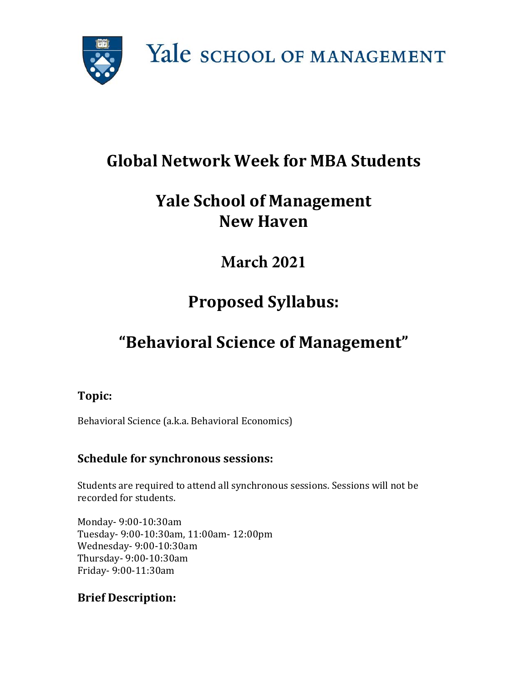

## **Global Network Week for MBA Students**

## **Yale School of Management New Haven**

## **March 2021**

# **Proposed Syllabus:**

# **"Behavioral Science of Management"**

#### **Topic:**

Behavioral Science (a.k.a. Behavioral Economics)

#### **Schedule for synchronous sessions:**

Students are required to attend all synchronous sessions. Sessions will not be recorded for students.

Monday- 9:00-10:30am Tuesday- 9:00-10:30am, 11:00am- 12:00pm Wednesday- 9:00-10:30am Thursday- 9:00-10:30am Friday- 9:00-11:30am

#### **Brief Description:**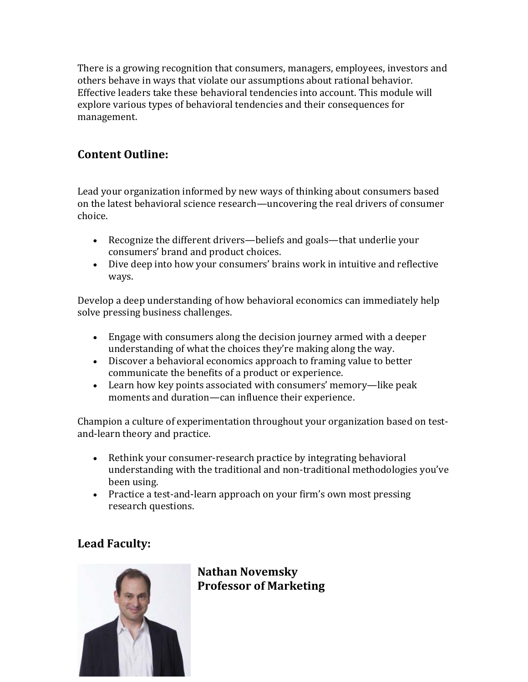There is a growing recognition that consumers, managers, employees, investors and others behave in ways that violate our assumptions about rational behavior. Effective leaders take these behavioral tendencies into account. This module will explore various types of behavioral tendencies and their consequences for management.

#### **Content Outline:**

Lead your organization informed by new ways of thinking about consumers based on the latest behavioral science research—uncovering the real drivers of consumer choice.

- Recognize the different drivers—beliefs and goals—that underlie your consumers' brand and product choices.
- Dive deep into how your consumers' brains work in intuitive and reflective ways.

Develop a deep understanding of how behavioral economics can immediately help solve pressing business challenges.

- Engage with consumers along the decision journey armed with a deeper understanding of what the choices they're making along the way.
- Discover a behavioral economics approach to framing value to better communicate the benefits of a product or experience.
- Learn how key points associated with consumers' memory—like peak moments and duration—can influence their experience.

Champion a culture of experimentation throughout your organization based on testand-learn theory and practice.

- Rethink your consumer-research practice by integrating behavioral understanding with the traditional and non-traditional methodologies you've been using.
- Practice a test-and-learn approach on your firm's own most pressing research questions.

### **Lead Faculty:**



**Nathan Novemsky Professor of Marketing**